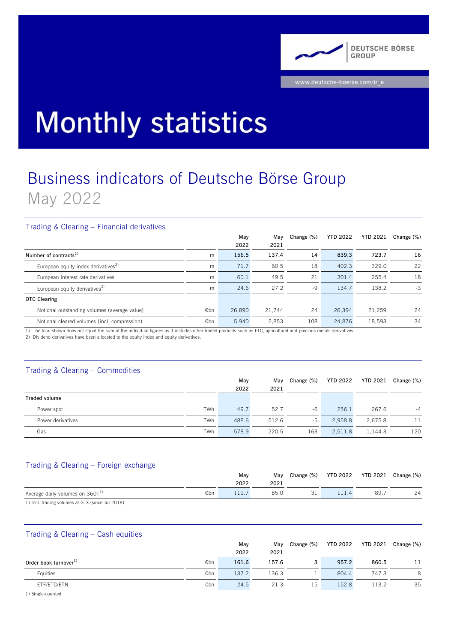

# **Monthly statistics**

# Business indicators of Deutsche Börse Group May 2022

# Trading & Clearing – Financial derivatives

|                                                 |     | May    | May    | Change (%) | <b>YTD 2022</b> | <b>YTD 2021</b> | Change $(\%)$ |
|-------------------------------------------------|-----|--------|--------|------------|-----------------|-----------------|---------------|
|                                                 |     | 2022   | 2021   |            |                 |                 |               |
| Number of contracts <sup>1)</sup>               | m   | 156.5  | 137.4  | 14         | 839.3           | 723.7           | 16            |
| European equity index derivatives <sup>2)</sup> | m   | 71.7   | 60.5   | 18         | 402.3           | 329.0           | 22            |
| European interest rate derivatives              | m   | 60.1   | 49.5   | 21         | 301.4           | 255.4           | 18            |
| European equity derivatives <sup>2)</sup>       | m   | 24.6   | 27.2   | -9         | 134.7           | 138.2           | -3            |
| <b>OTC Clearing</b>                             |     |        |        |            |                 |                 |               |
| Notional outstanding volumes (average value)    | €bn | 26,890 | 21,744 | 24         | 26,394          | 21,259          | 24            |
| Notional cleared volumes (incl. compression)    | €bn | 5.940  | 2.853  | 108        | 24.876          | 18,593          | 34            |

1) The total shown does not equal the sum of the individual figures as it includes other traded products such as ETC, agricultural and precious metals derivatives.

2) Dividend derivatives have been allocated to the equity index and equity derivatives.

# Trading & Clearing – Commodities

|                   |     | May   | May   | Change (%) | YTD 2022 | YTD 2021 | Change (%) |
|-------------------|-----|-------|-------|------------|----------|----------|------------|
|                   |     | 2022  | 2021  |            |          |          |            |
| Traded volume     |     |       |       |            |          |          |            |
| Power spot        | TWh | 49.7  | 52.7  | -6         | 256.1    | 267.6    | $-4$       |
| Power derivatives | TWh | 488.6 | 512.6 | -5         | 2.958.8  | 2.675.8  |            |
| Gas               | TWh | 578.9 | 220.5 | 163        | 2,511.8  | 1.144.3  | 120        |

# Trading & Clearing – Foreign exchange

|                                                  |     | Mav  | Mav  | Change (%) |        | YTD 2022 YTD 2021 Change (%) |    |
|--------------------------------------------------|-----|------|------|------------|--------|------------------------------|----|
|                                                  |     | 2022 | 2021 |            |        |                              |    |
| Average daily volumes on 360T <sup>1)</sup>      | €bn |      | 85.0 |            | . 11.4 | 89.                          | 24 |
| 1) Incl. trading volumes at GTY (since Jul 2018) |     |      |      |            |        |                              |    |

cl. trading volumes at GTX (since Jul 2018)

#### Trading & Clearing – Cash equities

|                                   |     | May   | May   | Change (%) | YTD 2022 | YTD 2021 | Change (%) |
|-----------------------------------|-----|-------|-------|------------|----------|----------|------------|
|                                   |     | 2022  | 2021  |            |          |          |            |
| Order book turnover <sup>1)</sup> | €bn | 161.6 | 157.6 |            | 957.2    | 860.5    | 11         |
| Equities                          | €bn | 137.2 | 136.3 |            | 804.4    | 747.3    | 8          |
| ETF/ETC/ETN                       | €bn | 24.5  | 21.3  | 15         | 152.8    | 113.2    | 35         |

1) Single-counted